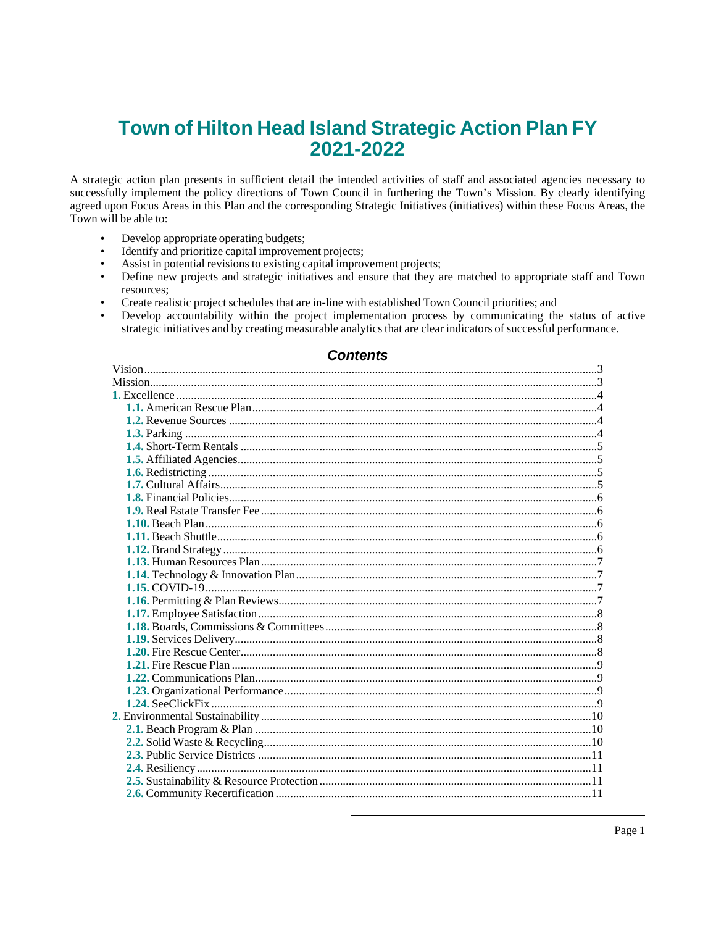# Town of Hilton Head Island Strategic Action Plan FY 2021-2022

A strategic action plan presents in sufficient detail the intended activities of staff and associated agencies necessary to successfully implement the policy directions of Town Council in furthering the Town's Mission. By clearly identifying agreed upon Focus Areas in this Plan and the corresponding Strategic Initiatives (initiatives) within these Focus Areas, the Town will be able to:

- Develop appropriate operating budgets;  $\bullet$
- Identify and prioritize capital improvement projects;  $\bullet$
- Assist in potential revisions to existing capital improvement projects;
- Define new projects and strategic initiatives and ensure that they are matched to appropriate staff and Town  $\bullet$ resources;
- Create realistic project schedules that are in-line with established Town Council priorities; and
- Develop accountability within the project implementation process by communicating the status of active  $\bullet$ strategic initiatives and by creating measurable analytics that are clear indicators of successful performance.

# **Contents**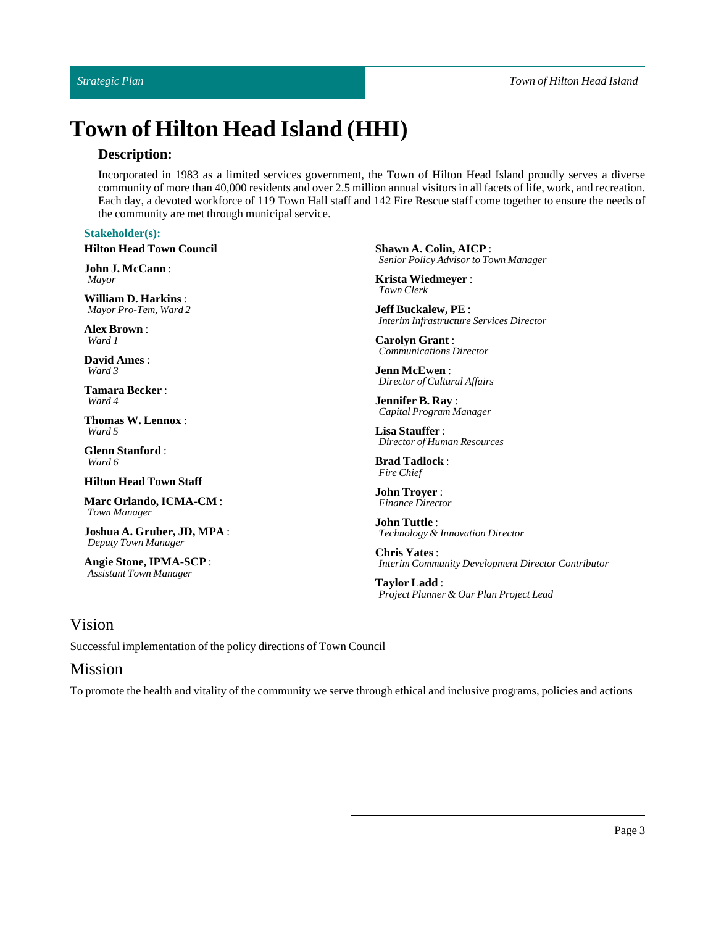# **Town of Hilton Head Island (HHI)**

# **Description:**

Incorporated in 1983 as a limited services government, the Town of Hilton Head Island proudly serves a diverse community of more than 40,000 residents and over 2.5 million annual visitors in all facets of life, work, and recreation. Each day, a devoted workforce of 119 Town Hall staff and 142 Fire Rescue staff come together to ensure the needs of the community are met through municipal service.

# **Stakeholder(s):**

#### **Hilton Head Town Council**

**JohnJ. McCann**: *Mayor*

**William D. Harkins**: *Mayor Pro-Tem, Ward 2*

**Alex Brown**: *Ward 1*

**David Ames** : *Ward 3*

**Tamara Becker** : *Ward 4*

**Thomas W. Lennox** : *Ward 5*

**GlennStanford**: *Ward 6*

#### **Hilton Head TownStaff**

**Marc Orlando, ICMA-CM** : *Town Manager*

**Joshua A. Gruber, JD, MPA** : *Deputy Town Manager*

**AngieStone, IPMA-SCP** : *Assistant Town Manager*

**Shawn A. Colin, AICP** : *Senior Policy Advisor to Town Manager*

**Krista Wiedmeyer** : *Town Clerk*

**Jeff Buckalew, PE** : *Interim Infrastructure Services Director*

**Carolyn Grant** : *Communications Director*

**Jenn McEwen**: *Director of Cultural Affairs*

**Jennifer B. Ray** : *Capital Program Manager*

Lisa Stauffer : *Director of Human Resources*

**Brad Tadlock**: *Fire Chief*

**John Troyer** : *Finance Director*

**John Tuttle** : *Technology & Innovation Director*

**Chris Yates**: *Interim Community Development Director Contributor*

**Taylor Ladd**: *Project Planner & Our Plan Project Lead*

# <span id="page-2-0"></span>Vision

Successful implementation of the policy directions of Town Council

# <span id="page-2-1"></span>Mission

To promote the health and vitality of the community we serve through ethical and inclusive programs, policies and actions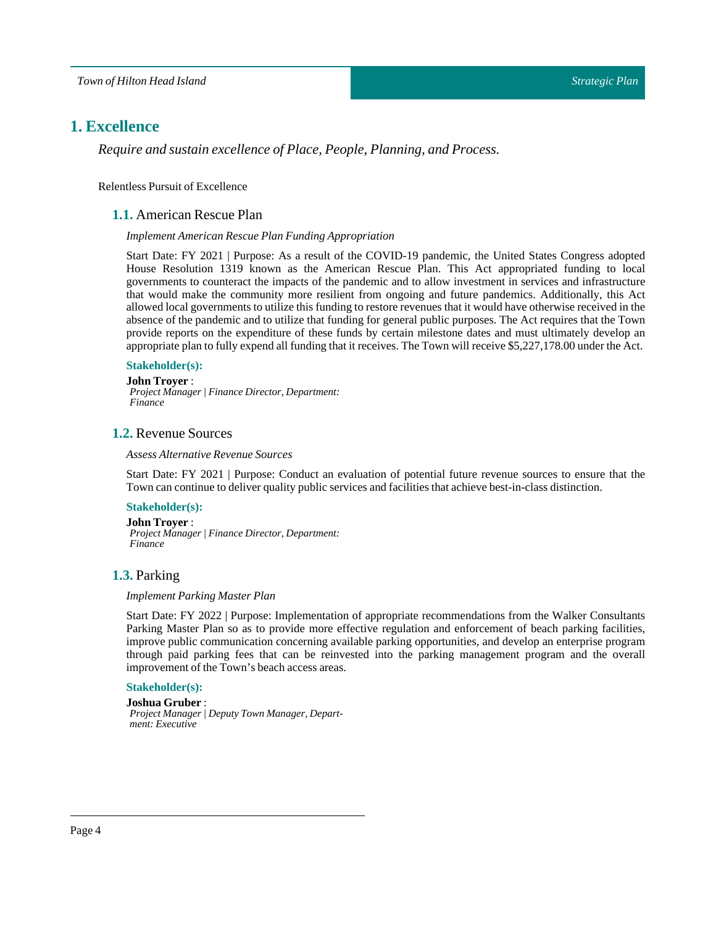# <span id="page-3-0"></span>**1. Excellence**

*Require and sustain excellence of Place, People, Planning, and Process.*

<span id="page-3-1"></span>Relentless Pursuit of Excellence

# **1.1.** American Rescue Plan

#### *Implement American Rescue Plan Funding Appropriation*

Start Date: FY 2021 | Purpose: As a result of the COVID-19 pandemic, the United States Congress adopted House Resolution 1319 known as the American Rescue Plan. This Act appropriated funding to local governments to counteract the impacts of the pandemic and to allow investment in services and infrastructure that would make the community more resilient from ongoing and future pandemics. Additionally, this Act allowed local governments to utilize this funding to restore revenues that it would have otherwise received in the absence of the pandemic and to utilize that funding for general public purposes. The Act requires that the Town provide reports on the expenditure of these funds by certain milestone dates and must ultimately develop an appropriate plan to fully expend all funding that it receives. The Town will receive \$5,227,178.00 under the Act.

#### **Stakeholder(s):**

**John Troyer** : *Project Manager | Finance Director, Department: Finance*

# <span id="page-3-2"></span>**1.2.** Revenue Sources

#### *Assess Alternative Revenue Sources*

Start Date: FY 2021 | Purpose: Conduct an evaluation of potential future revenue sources to ensure that the Town can continue to deliver quality public services and facilities that achieve best-in-class distinction.

### **Stakeholder(s):**

**John Troyer** :

*Project Manager | Finance Director, Department: Finance*

#### <span id="page-3-3"></span>**1.3.** Parking

#### *Implement Parking Master Plan*

Start Date: FY 2022 | Purpose: Implementation of appropriate recommendations from the Walker Consultants Parking Master Plan so as to provide more effective regulation and enforcement of beach parking facilities, improve public communication concerning available parking opportunities, and develop an enterprise program through paid parking fees that can be reinvested into the parking management program and the overall improvement of the Town's beach access areas.

#### **Stakeholder(s):**

#### **Joshua Gruber** :

*Project Manager | Deputy Town Manager, Department: Executive*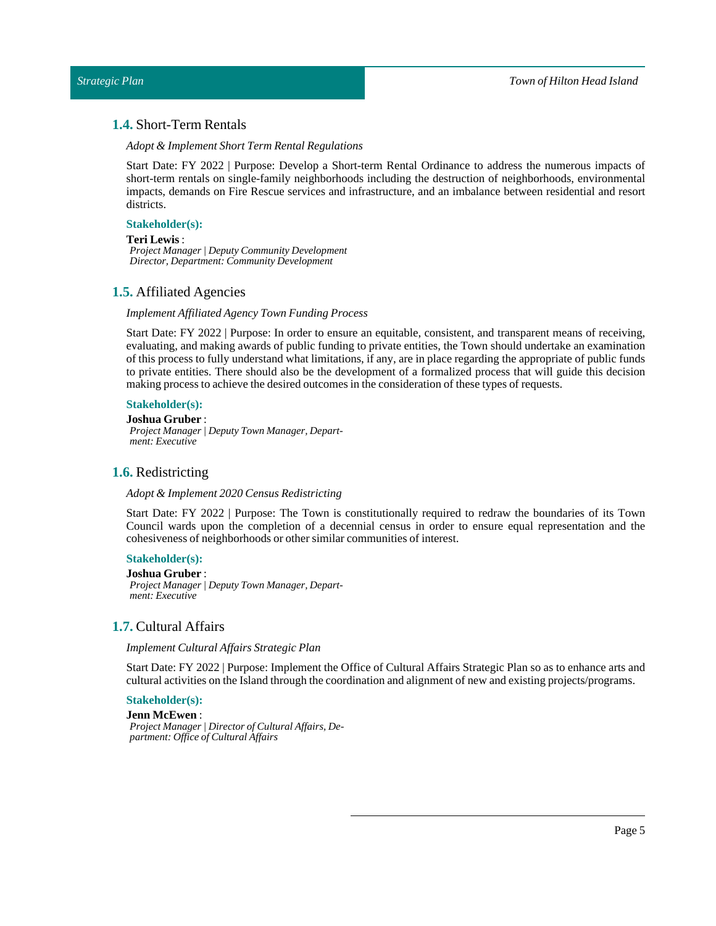# <span id="page-4-0"></span>**1.4.** Short-Term Rentals

*Adopt & Implement ShortTerm Rental Regulations*

Start Date: FY 2022 | Purpose: Develop a Short-term Rental Ordinance to address the numerous impacts of short-term rentals on single-family neighborhoods including the destruction of neighborhoods, environmental impacts, demands on Fire Rescue services and infrastructure, and an imbalance between residential and resort districts.

#### **Stakeholder(s):**

#### **Teri Lewis** :

*Project Manager | Deputy Community Development Director, Department: Community Development*

#### <span id="page-4-1"></span>**1.5.** Affiliated Agencies

#### *Implement Affiliated AgencyTown Funding Process*

Start Date: FY 2022 | Purpose: In order to ensure an equitable, consistent, and transparent means of receiving, evaluating, and making awards of public funding to private entities, the Town should undertake an examination of this process to fully understand what limitations, if any, are in place regarding the appropriate of public funds to private entities. There should also be the development of a formalized process that will guide this decision making process to achieve the desired outcomes in the consideration of these types of requests.

#### **Stakeholder(s):**

**Joshua Gruber** : *Project Manager | Deputy Town Manager, Department: Executive*

#### <span id="page-4-2"></span>**1.6.** Redistricting

#### *Adopt & Implement 2020 Census Redistricting*

Start Date: FY 2022 | Purpose: The Town is constitutionally required to redraw the boundaries of its Town Council wards upon the completion of a decennial census in order to ensure equal representation and the cohesiveness of neighborhoods or other similar communities of interest.

#### **Stakeholder(s):**

**Joshua Gruber** : *Project Manager | Deputy Town Manager, Department: Executive*

#### <span id="page-4-3"></span>**1.7.** Cultural Affairs

*Implement Cultural Affairs Strategic Plan*

Start Date: FY 2022 | Purpose: Implement the Office of Cultural Affairs Strategic Plan so as to enhance arts and cultural activities on the Island through the coordination and alignment of new and existing projects/programs.

# **Stakeholder(s):**

**Jenn McEwen**: *Project Manager | Director of Cultural Affairs, Department: Office of Cultural Affairs*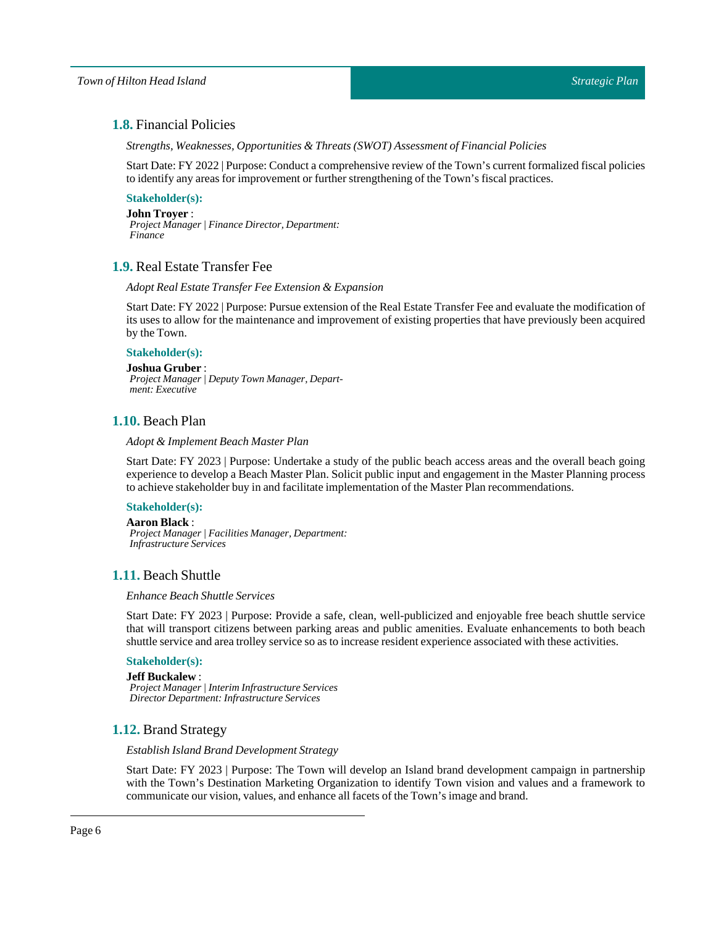# <span id="page-5-0"></span>**1.8.** Financial Policies

*Strengths, Weaknesses, Opportunities & Threats (SWOT) Assessment of Financial Policies*

Start Date:FY 2022 |Purpose: Conduct a comprehensive review of the Town's current formalized fiscal policies to identify any areas for improvement or further strengthening of the Town's fiscal practices.

# **Stakeholder(s):**

**John Troyer** : *Project Manager | Finance Director, Department: Finance*

# <span id="page-5-1"></span>**1.9.** Real Estate Transfer Fee

#### *Adopt Real EstateTransfer Fee Extension & Expansion*

Start Date: FY 2022 | Purpose: Pursue extension of the Real Estate Transfer Fee and evaluate the modification of its uses to allow for the maintenance and improvement of existing properties that have previously been acquired by the Town.

#### **Stakeholder(s):**

**Joshua Gruber** : *Project Manager | Deputy Town Manager, Department: Executive*

# <span id="page-5-2"></span>**1.10.** Beach Plan

#### *Adopt & Implement Beach Master Plan*

Start Date: FY 2023 | Purpose: Undertake a study of the public beach access areas and the overall beach going experience to develop a Beach Master Plan. Solicit public input and engagement in the Master Planning process to achieve stakeholder buy in and facilitate implementation of the MasterPlan recommendations.

#### **Stakeholder(s):**

#### **Aaron Black**:

*Project Manager | Facilities Manager, Department: Infrastructure Services*

# <span id="page-5-3"></span>**1.11.** Beach Shuttle

#### *Enhance Beach Shuttle Services*

Start Date: FY 2023 | Purpose: Provide a safe, clean, well-publicized and enjoyable free beach shuttle service that will transport citizens between parking areas and public amenities. Evaluate enhancements to both beach shuttle service and area trolley service so as to increase resident experience associated with these activities.

# **Stakeholder(s):**

**Jeff Buckalew** : *Project Manager | Interim Infrastructure Services Director Department: Infrastructure Services*

# <span id="page-5-4"></span>**1.12.** Brand Strategy

#### *Establish Island Brand Development Strategy*

Start Date: FY 2023 | Purpose: The Town will develop an Island brand development campaign in partnership with the Town's Destination Marketing Organization to identify Town vision and values and a framework to communicate our vision, values, and enhance all facets of the Town's image and brand.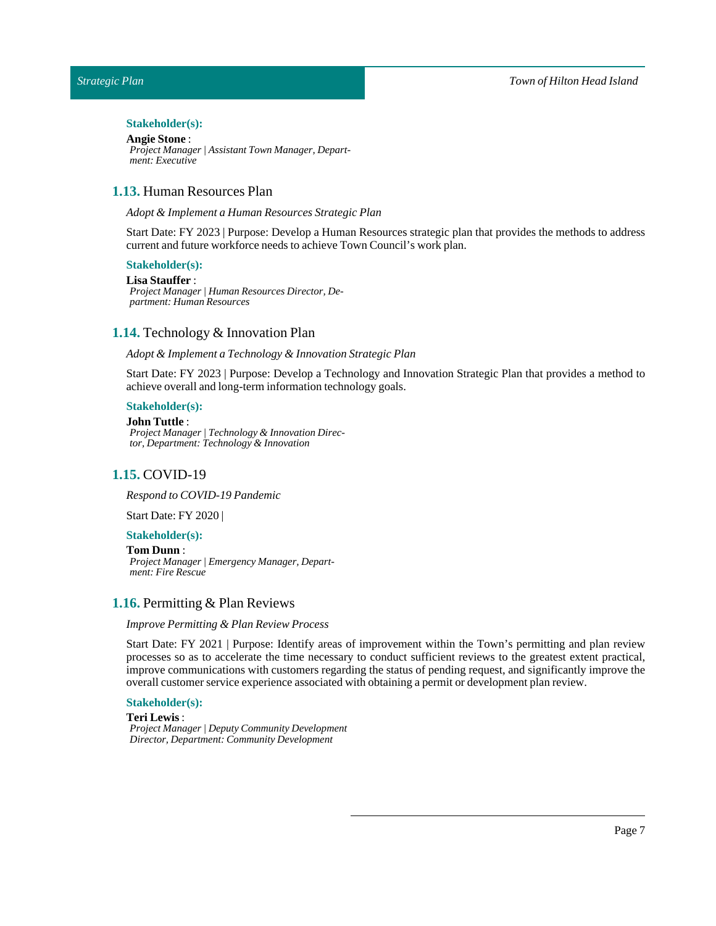*Town of Hilton Head Island*

### *Strategic Plan*

#### Stakeholder(s):

#### **AngieStone** :

*Project Manager | Assistant Town Manager, Department: Executive*

# <span id="page-6-0"></span>**1.13.** Human Resources Plan

#### *Adopt & Implement a Human Resources Strategic Plan*

Start Date: FY 2023 | Purpose: Develop a Human Resources strategic plan that provides the methods to address current and future workforce needs to achieve Town Council's work plan.

#### **Stakeholder(s):**

#### Lisa Stauffer :

*Project Manager | Human Resources Director, Department: Human Resources*

# <span id="page-6-1"></span>**1.14.** Technology & Innovation Plan

#### *Adopt & Implement aTechnology & Innovation Strategic Plan*

Start Date: FY 2023 | Purpose: Develop a Technology and Innovation Strategic Plan that provides a method to achieve overall and long-term information technology goals.

### **Stakeholder(s):**

#### **John Tuttle** :

*Project Manager | Technology & Innovation Director, Department: Technology & Innovation*

#### <span id="page-6-2"></span>**1.15.** COVID-19

*Respond to COVID-19 Pandemic*

Start Date: FY 2020 |

#### **Stakeholder(s):**

#### **Tom Dunn**:

*Project Manager | Emergency Manager, Department: Fire Rescue*

#### <span id="page-6-3"></span>**1.16.** Permitting & Plan Reviews

#### *Improve Permitting & Plan Review Process*

Start Date: FY 2021 | Purpose: Identify areas of improvement within the Town's permitting and plan review processes so as to accelerate the time necessary to conduct sufficient reviews to the greatest extent practical, improve communications with customers regarding the status of pending request, and significantly improve the overall customer service experience associated with obtaining a permit or development plan review.

# **Stakeholder(s):**

# **Teri Lewis** :

*Project Manager | Deputy Community Development Director, Department: Community Development*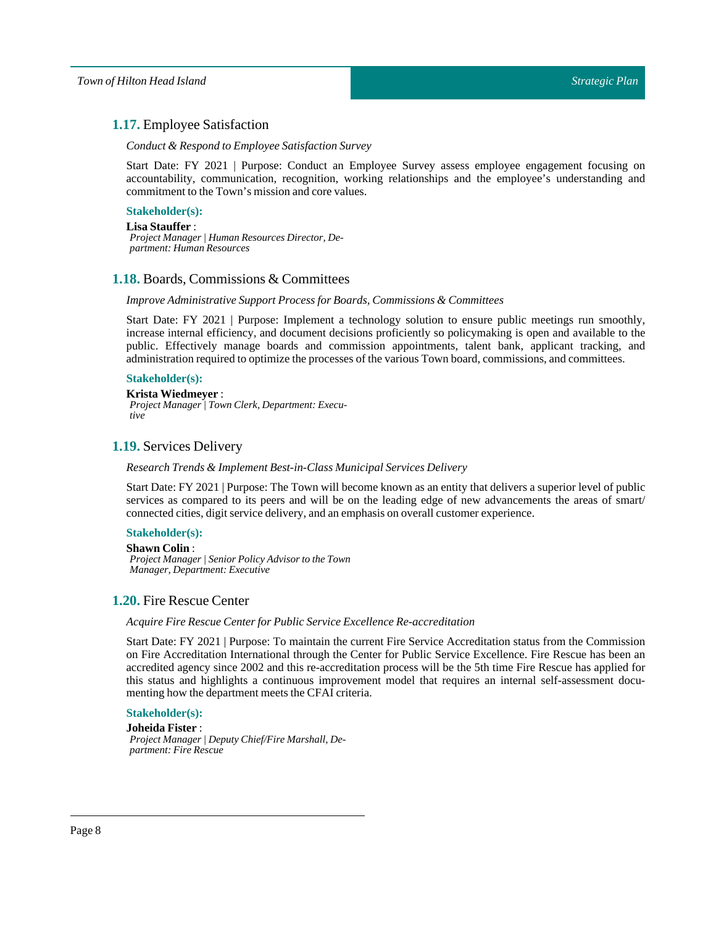# <span id="page-7-0"></span>**1.17.** Employee Satisfaction

#### *Conduct & Respond to Employee Satisfaction Survey*

Start Date: FY 2021 | Purpose: Conduct an Employee Survey assess employee engagement focusing on accountability, communication, recognition, working relationships and the employee's understanding and commitment to the Town's mission and core values.

# **Stakeholder(s):**

#### Lisa Stauffer :

*Project Manager | Human Resources Director, Department: Human Resources*

# <span id="page-7-1"></span>**1.18.** Boards, Commissions & Committees

#### *Improve Administrative Support Process for Boards, Commissions & Committees*

Start Date: FY 2021 | Purpose: Implement a technology solution to ensure public meetings run smoothly, increase internal efficiency, and document decisions proficiently so policymaking is open and available to the public. Effectively manage boards and commission appointments, talent bank, applicant tracking, and administration required to optimize the processes of the various Town board, commissions, and committees.

#### **Stakeholder(s):**

#### **Krista Wiedmeyer** :

*Project Manager | Town Clerk, Department: Executive*

# <span id="page-7-2"></span>**1.19.** Services Delivery

#### *ResearchTrends & Implement Best-in-Class Municipal Services Delivery*

Start Date: FY 2021 | Purpose: The Town will become known as an entity that delivers a superior level of public services as compared to its peers and will be on the leading edge of new advancements the areas of smart/ connected cities, digit service delivery, and an emphasis on overall customer experience.

#### **Stakeholder(s):**

#### **Shawn Colin**:

*Project Manager | Senior Policy Advisor to the Town Manager, Department: Executive*

# <span id="page-7-3"></span>**1.20.** Fire Rescue Center

#### *Acquire Fire Rescue Center for Public Service Excellence Re-accreditation*

Start Date: FY 2021 | Purpose: To maintain the current Fire Service Accreditation status from the Commission on Fire Accreditation International through the Center for Public Service Excellence. Fire Rescue has been an accredited agency since 2002 and this re-accreditation process will be the 5th time Fire Rescue has applied for this status and highlights a continuous improvement model that requires an internal self-assessment documenting how the department meets the CFAI criteria.

# **Stakeholder(s):**

**Joheida Fister** : *Project Manager | Deputy Chief/Fire Marshall, Department: Fire Rescue*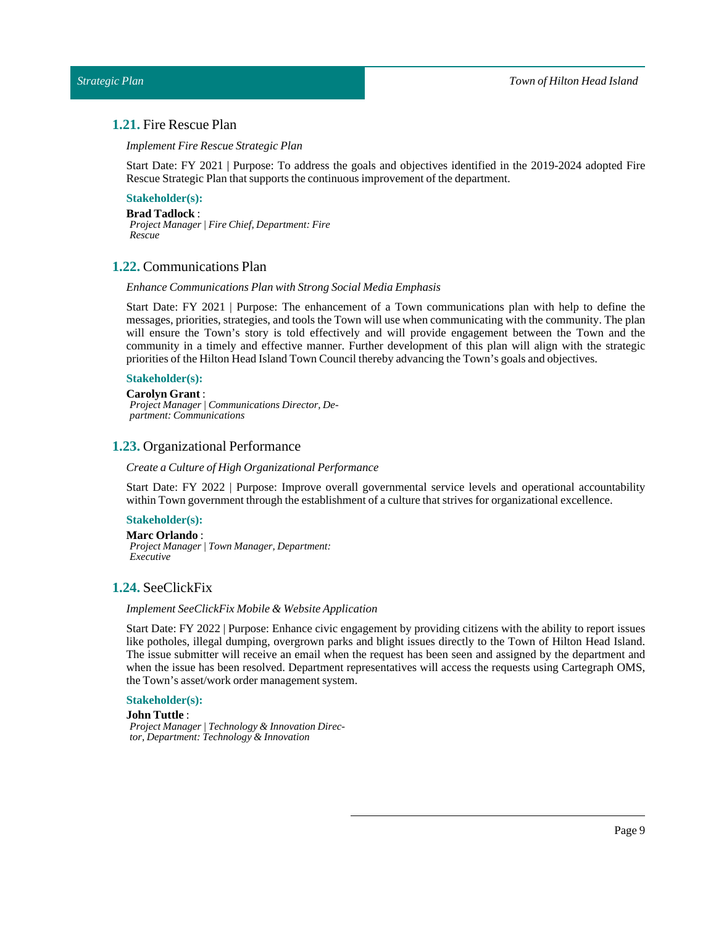# <span id="page-8-0"></span>**1.21.** Fire Rescue Plan

*Implement Fire Rescue Strategic Plan*

Start Date: FY 2021 | Purpose: To address the goals and objectives identified in the 2019-2024 adopted Fire Rescue Strategic Plan that supports the continuous improvement of the department.

# **Stakeholder(s):**

**Brad Tadlock**: *Project Manager | Fire Chief, Department: Fire Rescue*

#### <span id="page-8-1"></span>**1.22.** Communications Plan

#### *Enhance Communications Plan with Strong Social Media Emphasis*

Start Date: FY 2021 | Purpose: The enhancement of a Town communications plan with help to define the messages, priorities, strategies, and tools the Town will use when communicating with the community. The plan will ensure the Town's story is told effectively and will provide engagement between the Town and the community in a timely and effective manner. Further development of this plan will align with the strategic priorities of the Hilton Head Island Town Council thereby advancing the Town's goals and objectives.

#### **Stakeholder(s):**

#### **Carolyn Grant** :

*Project Manager | Communications Director, Department: Communications*

#### <span id="page-8-2"></span>**1.23.** Organizational Performance

*Create a Culture of High Organizational Performance*

Start Date: FY 2022 | Purpose: Improve overall governmental service levels and operational accountability within Town government through the establishment of a culture that strives for organizational excellence.

# **Stakeholder(s):**

#### **Marc Orlando** :

*Project Manager | Town Manager, Department: Executive*

# <span id="page-8-3"></span>**1.24.** SeeClickFix

#### *Implement SeeClickFix Mobile & Website Application*

Start Date: FY 2022 | Purpose: Enhance civic engagement by providing citizens with the ability to report issues like potholes, illegal dumping, overgrown parks and blight issues directly to the Town of Hilton Head Island. The issue submitter will receive an email when the request has been seen and assigned by the department and when the issue has been resolved. Department representatives will access the requests using Cartegraph OMS, the Town's asset/work order management system.

#### **Stakeholder(s):**

#### **John Tuttle** :

*Project Manager | Technology & Innovation Director, Department: Technology & Innovation*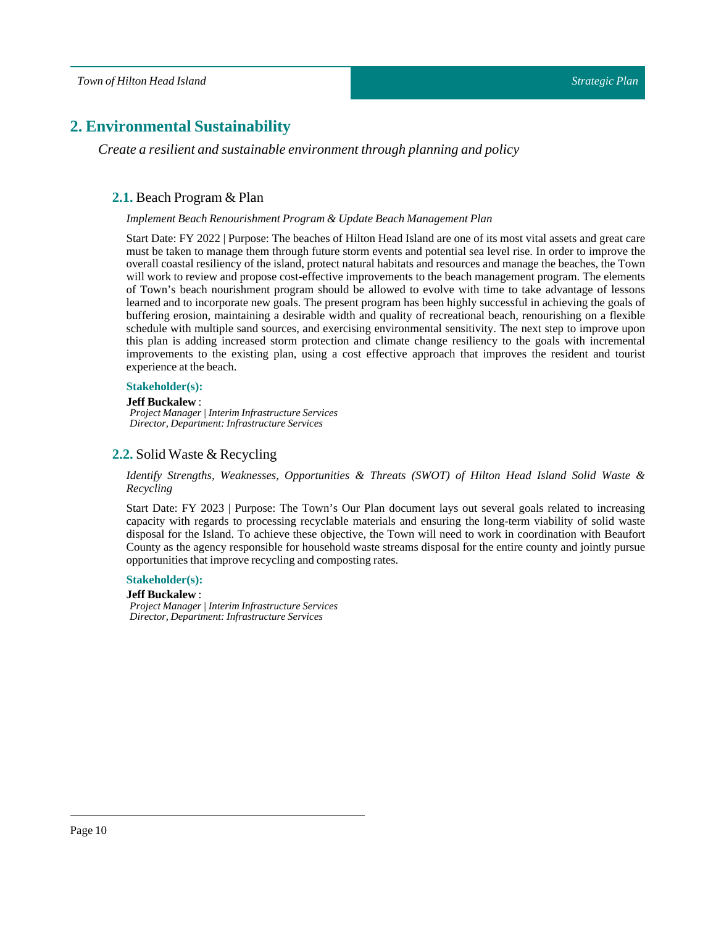# <span id="page-9-1"></span><span id="page-9-0"></span>**2. Environmental Sustainability**

*Create a resilient and sustainable environment through planning and policy*

# **2.1.** Beach Program & Plan

#### *Implement Beach Renourishment Program & Update Beach Management Plan*

Start Date: FY 2022 | Purpose: The beaches of Hilton Head Island are one of its most vital assets and great care must be taken to manage them through future storm events and potential sea level rise. In order to improve the overall coastal resiliency of the island, protect natural habitats and resources and manage the beaches, the Town will work to review and propose cost-effective improvements to the beach management program. The elements of Town's beach nourishment program should be allowed to evolve with time to take advantage of lessons learned and to incorporate new goals. The present program has been highly successful in achieving the goals of buffering erosion, maintaining a desirable width and quality of recreational beach, renourishing on a flexible schedule with multiple sand sources, and exercising environmental sensitivity. The next step to improve upon this plan is adding increased storm protection and climate change resiliency to the goals with incremental improvements to the existing plan, using a cost effective approach that improves the resident and tourist experience at the beach.

#### **Stakeholder(s):**

#### **Jeff Buckalew** :

*Project Manager | Interim Infrastructure Services Director, Department: Infrastructure Services*

# <span id="page-9-2"></span>**2.2.** Solid Waste & Recycling

*Identify Strengths, Weaknesses, Opportunities & Threats (SWOT) of Hilton Head Island Solid Waste & Recycling*

Start Date: FY 2023 | Purpose: The Town's Our Plan document lays out several goals related to increasing capacity with regards to processing recyclable materials and ensuring the long-term viability of solid waste disposal for the Island. To achieve these objective, the Town will need to work in coordination with Beaufort County as the agency responsible for household waste streams disposal for the entire county and jointly pursue opportunities that improve recycling and composting rates.

#### **Stakeholder(s):**

#### **Jeff Buckalew** :

*Project Manager | Interim Infrastructure Services Director, Department: Infrastructure Services*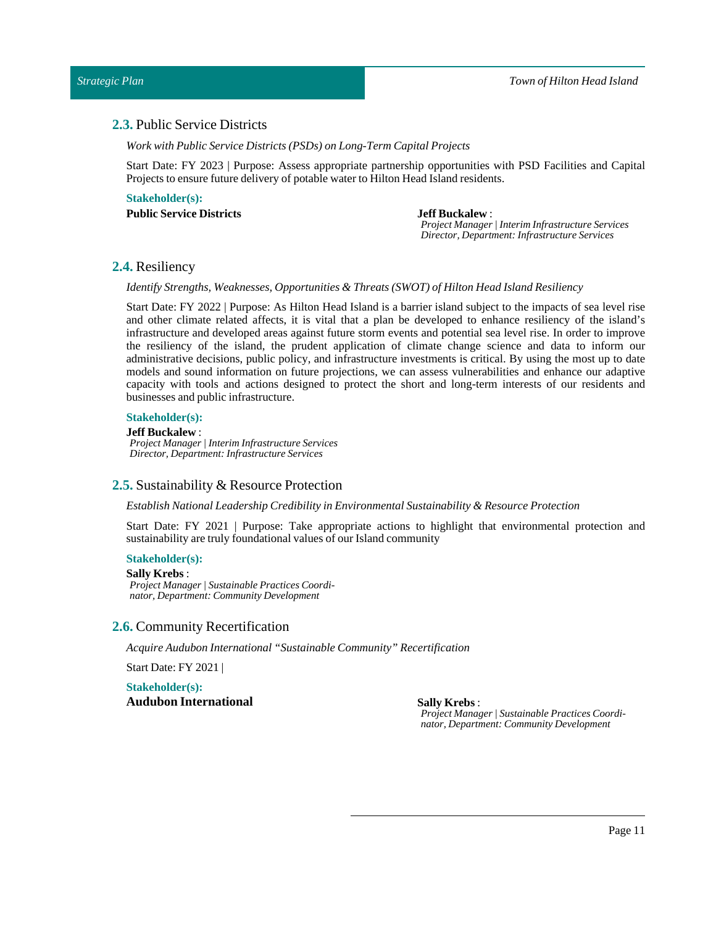# <span id="page-10-0"></span>**2.3.** Public Service Districts

*Work with Public Service Districts (PSDs) onLong-Term Capital Projects*

Start Date: FY 2023 | Purpose: Assess appropriate partnership opportunities with PSD Facilities and Capital Projects to ensure future delivery of potable water to Hilton Head Island residents.

**Stakeholder(s): PublicService Districts Jeff Buckalew** :

*Project Manager | Interim Infrastructure Services Director, Department: Infrastructure Services*

# <span id="page-10-1"></span>**2.4.** Resiliency

*Identify Strengths, Weaknesses, Opportunities & Threats (SWOT) of Hilton Head Island Resiliency*

Start Date: FY 2022 | Purpose: As Hilton Head Island is a barrier island subject to the impacts of sea level rise and other climate related affects, it is vital that a plan be developed to enhance resiliency of the island's infrastructure and developed areas against future storm events and potential sea level rise. In order to improve the resiliency of the island, the prudent application of climate change science and data to inform our administrative decisions, public policy, and infrastructure investments is critical. By using the most up to date models and sound information on future projections, we can assess vulnerabilities and enhance our adaptive capacity with tools and actions designed to protect the short and long-term interests of our residents and businesses and public infrastructure.

#### **Stakeholder(s):**

#### **Jeff Buckalew** :

*Project Manager | Interim Infrastructure Services Director, Department: Infrastructure Services*

# <span id="page-10-2"></span>**2.5.** Sustainability & Resource Protection

*Establish NationalLeadership Credibility in Environmental Sustainability & Resource Protection*

Start Date: FY 2021 | Purpose: Take appropriate actions to highlight that environmental protection and sustainability are truly foundational values of our Island community

# **Stakeholder(s):**

#### **Sally Krebs** :

*Project Manager | Sustainable Practices Coordinator, Department: Community Development*

#### <span id="page-10-3"></span>**2.6.** Community Recertification

*Acquire Audubon International"Sustainable Community" Recertification*

Start Date: FY 2021 |

**Stakeholder(s): Audubon International Sally Krebs** :

*Project Manager | Sustainable Practices Coordinator, Department: Community Development*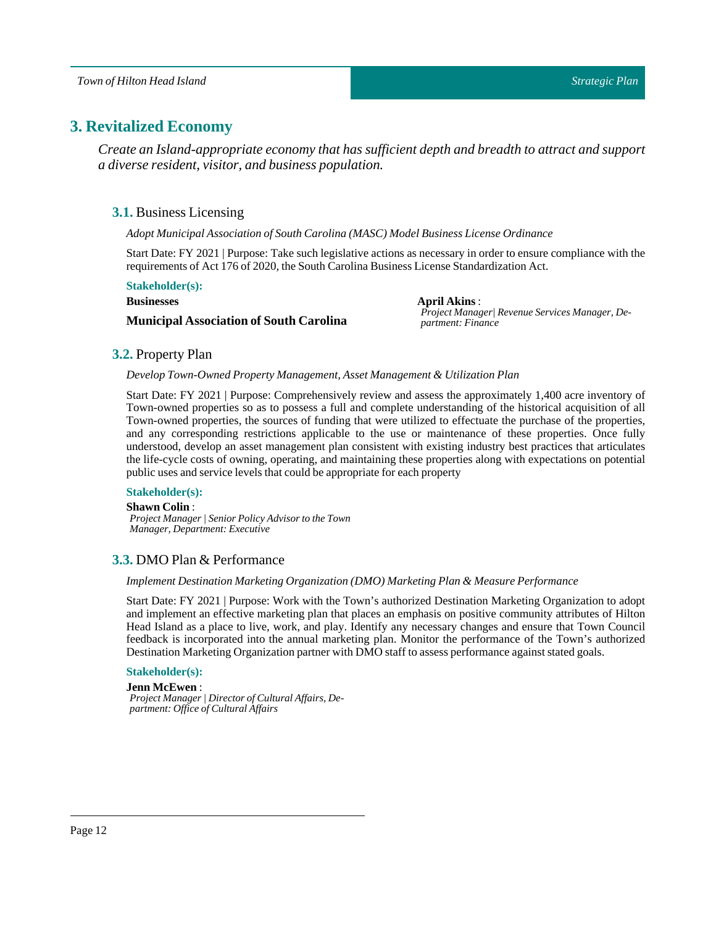# <span id="page-11-1"></span><span id="page-11-0"></span>**3. Revitalized Economy**

*Create an Island-appropriate economy that has sufficient depth and breadth to attract and support a diverse resident, visitor, and business population.*

# **3.1.** Business Licensing

*Adopt Municipal Association of South Carolina (MASC) Model BusinessLicense Ordinance*

Start Date: FY 2021 | Purpose: Take such legislative actions as necessary in order to ensure compliance with the requirements of Act 176 of 2020, the South Carolina Business License Standardization Act.

#### **Stakeholder(s):**

#### **Businesses**

# **Municipal Association of South Carolina**

**April Akins**: *Project Manager| Revenue Services Manager, Department: Finance*

# <span id="page-11-2"></span>**3.2.** Property Plan

#### *DevelopTown-Owned Property Management, Asset Management & Utilization Plan*

Start Date: FY 2021 | Purpose: Comprehensively review and assess the approximately 1,400 acre inventory of Town-owned properties so as to possess a full and complete understanding of the historical acquisition of all Town-owned properties, the sources of funding that were utilized to effectuate the purchase of the properties, and any corresponding restrictions applicable to the use or maintenance of these properties. Once fully understood, develop an asset management plan consistent with existing industry best practices that articulates the life-cycle costs of owning, operating, and maintaining these properties along with expectations on potential public uses and service levels that could be appropriate for each property

### **Stakeholder(s):**

#### **Shawn Colin**:

*Project Manager | Senior Policy Advisor to the Town Manager, Department: Executive*

# <span id="page-11-3"></span>**3.3.** DMO Plan & Performance

#### *Implement Destination Marketing Organization (DMO) Marketing Plan & Measure Performance*

Start Date: FY 2021 | Purpose: Work with the Town's authorized Destination Marketing Organization to adopt and implement an effective marketing plan that places an emphasis on positive community attributes of Hilton Head Island as a place to live, work, and play. Identify any necessary changes and ensure that Town Council feedback is incorporated into the annual marketing plan. Monitor the performance of the Town's authorized Destination Marketing Organization partner with DMO staff to assess performance against stated goals.

#### **Stakeholder(s):**

**Jenn McEwen**: *Project Manager | Director of Cultural Affairs, Department: Office of Cultural Affairs*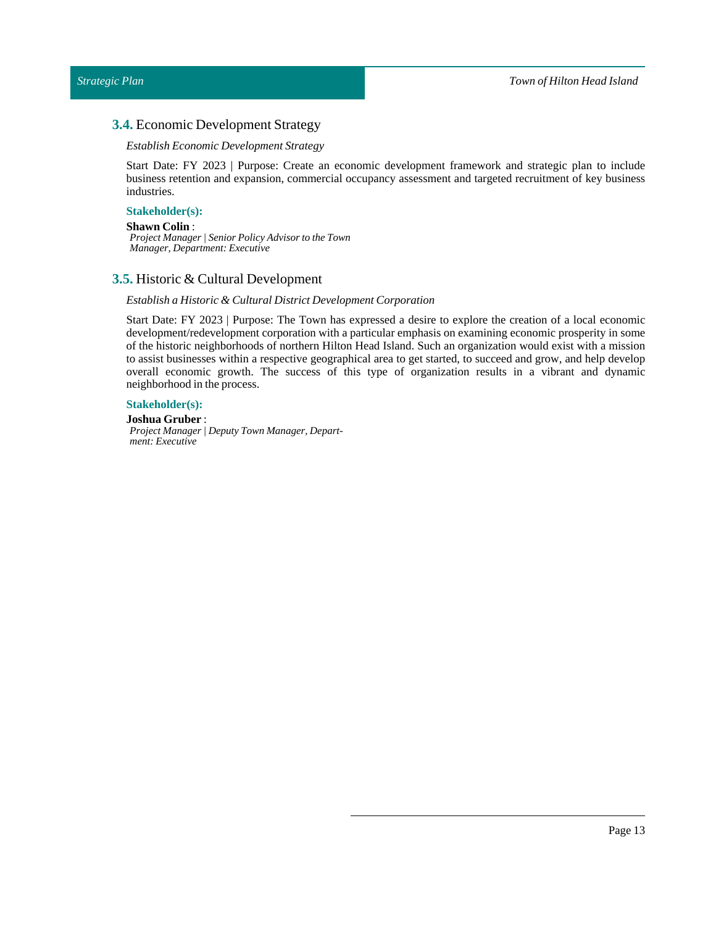# <span id="page-12-0"></span>**3.4.** Economic Development Strategy

#### *Establish Economic Development Strategy*

Start Date: FY 2023 | Purpose: Create an economic development framework and strategic plan to include business retention and expansion, commercial occupancy assessment and targeted recruitment of key business industries.

#### **Stakeholder(s):**

#### **Shawn Colin**:

*Project Manager | Senior Policy Advisor to the Town Manager, Department: Executive*

# <span id="page-12-1"></span>**3.5.** Historic & Cultural Development

#### *Establish a Historic & Cultural District Development Corporation*

Start Date: FY 2023 | Purpose: The Town has expressed a desire to explore the creation of a local economic development/redevelopment corporation with a particular emphasis on examining economic prosperity in some of the historic neighborhoods of northern Hilton Head Island. Such an organization would exist with a mission to assist businesses within a respective geographical area to get started, to succeed and grow, and help develop overall economic growth. The success of this type of organization results in a vibrant and dynamic neighborhood in the process.

### **Stakeholder(s):**

**Joshua Gruber** : *Project Manager | Deputy Town Manager, Department: Executive*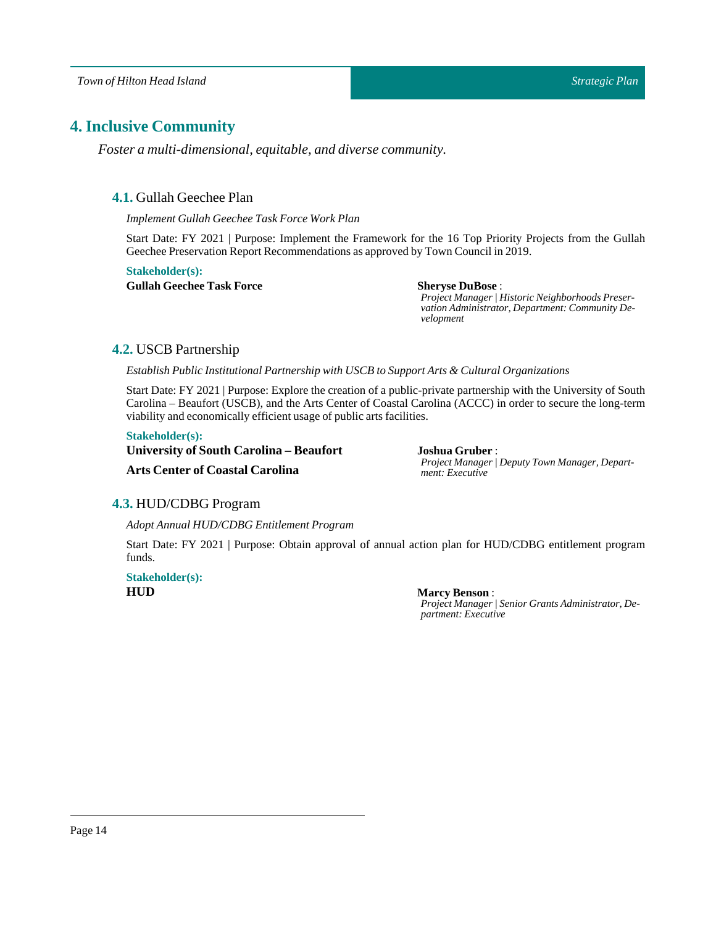*Town of Hilton Head Island*

# <span id="page-13-1"></span><span id="page-13-0"></span>**4. Inclusive Community**

*Foster a multi-dimensional, equitable, and diverse community.*

# **4.1.** Gullah Geechee Plan

*Implement Gullah GeecheeTask Force Work Plan*

Start Date: FY 2021 | Purpose: Implement the Framework for the 16 Top Priority Projects from the Gullah Geechee Preservation Report Recommendations as approved by Town Council in 2019.

**Stakeholder(s): Gullah Geechee Task Force Sheryse DuBose** :

*Project Manager | Historic Neighborhoods Preservation Administrator, Department: Community Development*

# <span id="page-13-2"></span>**4.2.** USCB Partnership

*Establish Public Institutional Partnership with USCB to Support Arts & Cultural Organizations*

Start Date: FY 2021 | Purpose: Explore the creation of a public-private partnership with the University of South Carolina – Beaufort (USCB), and the Arts Center of Coastal Carolina (ACCC) in order to secure the long-term viability and economically efficient usage of public arts facilities.

#### **Stakeholder(s):**

| University of South Carolina – Beaufort | Joshua Gruber                      |
|-----------------------------------------|------------------------------------|
| <b>Arts Center of Coastal Carolina</b>  | Project Manager<br>ment: Executive |

**Joshua Gruber** :  $P$  *Peputy Town Manager, Depart-*

# <span id="page-13-3"></span>**4.3.** HUD/CDBG Program

*Adopt Annual HUD/CDBG Entitlement Program*

Start Date: FY 2021 | Purpose: Obtain approval of annual action plan for HUD/CDBG entitlement program funds.

# **Stakeholder(s): HUD Marcy Benson**:

*Project Manager | Senior Grants Administrator, Department: Executive*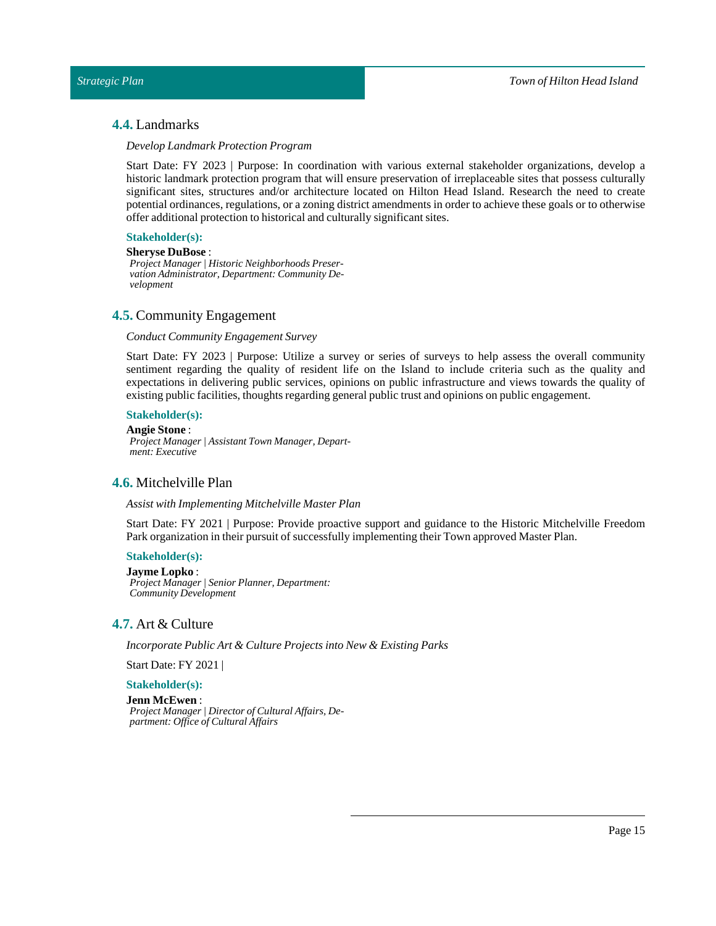# <span id="page-14-0"></span>**4.4.** Landmarks

#### *DevelopLandmark Protection Program*

Start Date: FY 2023 | Purpose: In coordination with various external stakeholder organizations, develop a historic landmark protection program that will ensure preservation of irreplaceable sites that possess culturally significant sites, structures and/or architecture located on Hilton Head Island. Research the need to create potential ordinances, regulations, or a zoning district amendments in order to achieve these goals or to otherwise offer additional protection to historical and culturally significant sites.

# **Stakeholder(s):**

# **Sheryse DuBose** :

*Project Manager | Historic Neighborhoods Preservation Administrator, Department: Community Development*

# <span id="page-14-1"></span>**4.5.** Community Engagement

#### *Conduct Community Engagement Survey*

Start Date: FY 2023 | Purpose: Utilize a survey or series of surveys to help assess the overall community sentiment regarding the quality of resident life on the Island to include criteria such as the quality and expectations in delivering public services, opinions on public infrastructure and views towards the quality of existing public facilities, thoughts regarding general public trust and opinions on public engagement.

#### **Stakeholder(s):**

**AngieStone** : *Project Manager | Assistant Town Manager, Department: Executive*

# <span id="page-14-2"></span>**4.6.** Mitchelville Plan

#### *Assist with Implementing Mitchelville Master Plan*

Start Date: FY 2021 | Purpose: Provide proactive support and guidance to the Historic Mitchelville Freedom Park organization in their pursuit of successfully implementing their Town approved MasterPlan.

#### **Stakeholder(s):**

**Jayme Lopko** : *Project Manager | Senior Planner, Department: Community Development*

### <span id="page-14-3"></span>**4.7.** Art & Culture

*Incorporate Public Art & Culture Projects into New & Existing Parks*

Start Date: FY 2021 |

#### **Stakeholder(s):**

#### **Jenn McEwen**:

*Project Manager | Director of Cultural Affairs, Department: Office of Cultural Affairs*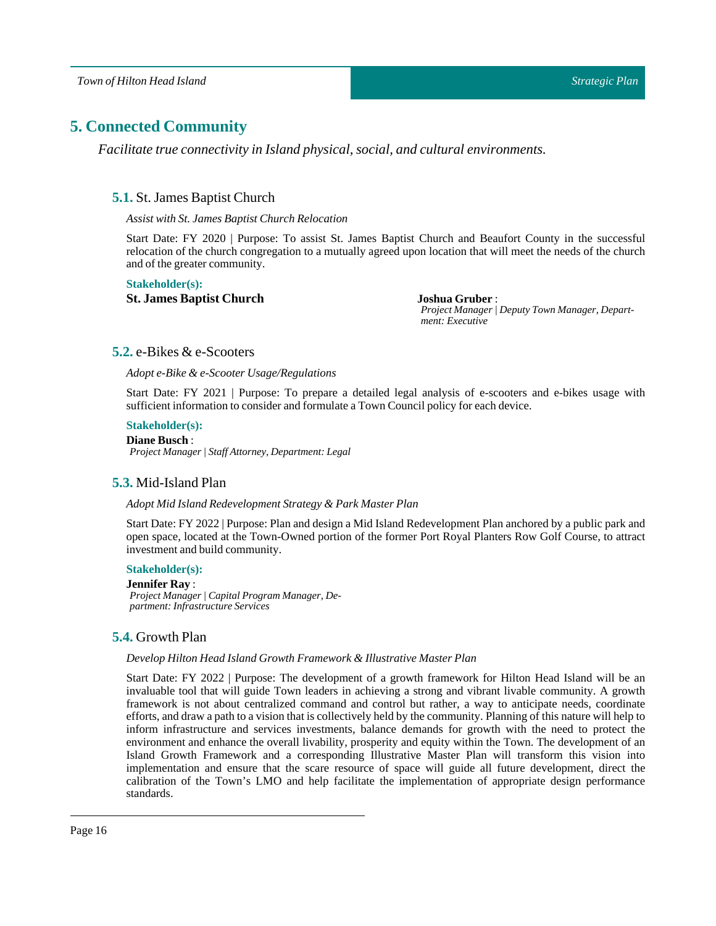# <span id="page-15-1"></span><span id="page-15-0"></span>**5. Connected Community**

*Facilitate true connectivity in Island physical, social, and cultural environments.*

# **5.1.** St. James Baptist Church

*Assist with St. James Baptist Church Relocation*

Start Date: FY 2020 | Purpose: To assist St. James Baptist Church and Beaufort County in the successful relocation of the church congregation to a mutually agreed upon location that will meet the needs of the church and of the greater community.

#### **Stakeholder(s):**

**St. James Baptist Church Joshua Gruber** :

*Project Manager | Deputy Town Manager, Department: Executive*

# <span id="page-15-2"></span>**5.2.** e-Bikes & e-Scooters

*Adopt e-Bike & e-Scooter Usage/Regulations*

Start Date: FY 2021 | Purpose: To prepare a detailed legal analysis of e-scooters and e-bikes usage with sufficient information to consider and formulate a Town Council policy for each device.

# **Stakeholder(s):**

**Diane Busch**: *Project Manager | Staff Attorney, Department: Legal*

# <span id="page-15-3"></span>**5.3.** Mid-Island Plan

#### *Adopt Mid Island Redevelopment Strategy & Park Master Plan*

Start Date: FY 2022 | Purpose: Plan and design a Mid Island Redevelopment Plan anchored by a public park and open space, located at the Town-Owned portion of the former Port Royal Planters Row Golf Course, to attract investment and build community.

#### **Stakeholder(s):**

**Jennifer Ray** : *Project Manager | Capital Program Manager, Department: Infrastructure Services*

# <span id="page-15-4"></span>**5.4.** Growth Plan

#### *Develop Hilton Head Island Growth Framework & Illustrative Master Plan*

Start Date: FY 2022 | Purpose: The development of a growth framework for Hilton Head Island will be an invaluable tool that will guide Town leaders in achieving a strong and vibrant livable community. A growth framework is not about centralized command and control but rather, a way to anticipate needs, coordinate efforts, and draw a path to a vision thatis collectively held by the community. Planning of this nature will help to inform infrastructure and services investments, balance demands for growth with the need to protect the environment and enhance the overall livability, prosperity and equity within the Town. The development of an Island Growth Framework and a corresponding Illustrative Master Plan will transform this vision into implementation and ensure that the scare resource of space will guide all future development, direct the calibration of the Town's LMO and help facilitate the implementation of appropriate design performance standards.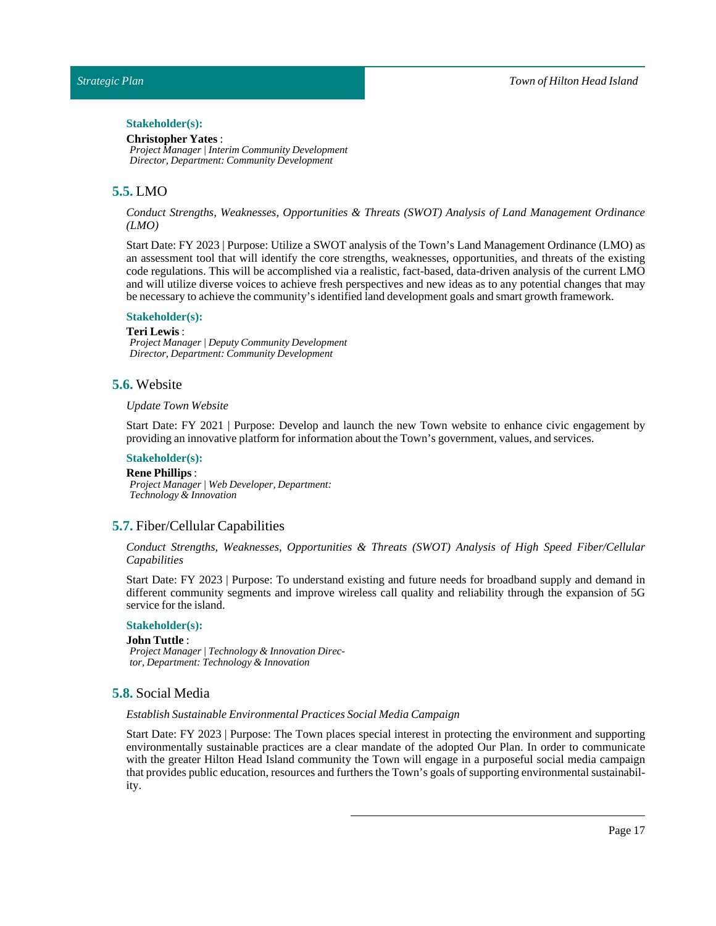# Stakeholder(s):

**Christopher Yates** : *Project Manager | Interim Community Development Director, Department: Community Development*

# <span id="page-16-0"></span>**5.5.** LMO

*Conduct Strengths, Weaknesses, Opportunities & Threats (SWOT) Analysis of Land Management Ordinance (LMO)*

Start Date: FY 2023 | Purpose: Utilize a SWOT analysis of the Town's Land Management Ordinance (LMO) as an assessment tool that will identify the core strengths, weaknesses, opportunities, and threats of the existing code regulations. This will be accomplished via a realistic, fact-based, data-driven analysis of the current LMO and will utilize diverse voices to achieve fresh perspectives and new ideas as to any potential changes that may be necessary to achieve the community's identified land development goals and smart growth framework.

#### **Stakeholder(s):**

#### **Teri Lewis** :

*Project Manager | Deputy Community Development Director, Department: Community Development*

# <span id="page-16-1"></span>**5.6.** Website

#### *UpdateTown Website*

Start Date: FY 2021 | Purpose: Develop and launch the new Town website to enhance civic engagement by providing an innovative platform for information aboutthe Town's government, values, and services.

#### **Stakeholder(s):**

**Rene Phillips** : *Project Manager | Web Developer, Department: Technology & Innovation*

#### <span id="page-16-2"></span>**5.7.** Fiber/Cellular Capabilities

*Conduct Strengths, Weaknesses, Opportunities & Threats (SWOT) Analysis of High Speed Fiber/Cellular Capabilities*

Start Date: FY 2023 | Purpose: To understand existing and future needs for broadband supply and demand in different community segments and improve wireless call quality and reliability through the expansion of 5G service for the island.

### **Stakeholder(s):**

#### **John Tuttle** :

*Project Manager | Technology & Innovation Director, Department: Technology & Innovation*

# <span id="page-16-3"></span>**5.8.** Social Media

#### *Establish Sustainable Environmental Practices Social Media Campaign*

Start Date: FY 2023 | Purpose: The Town places special interest in protecting the environment and supporting environmentally sustainable practices are a clear mandate of the adopted Our Plan. In order to communicate with the greater Hilton Head Island community the Town will engage in a purposeful social media campaign that provides public education, resources and furthers the Town's goals of supporting environmental sustainability.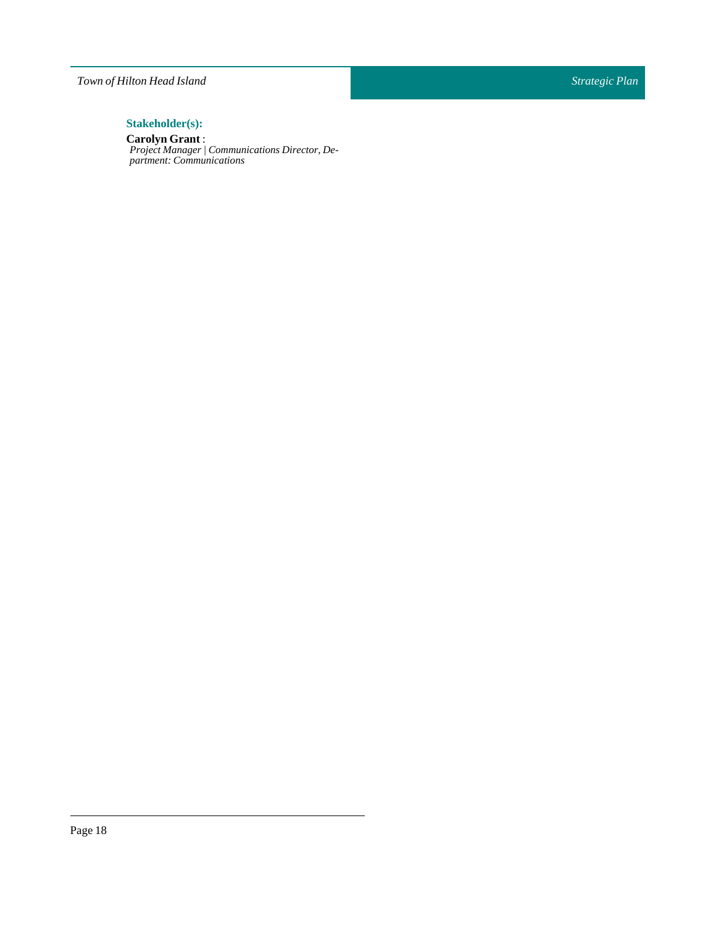# *Town of Hilton Head Island*

# $Stakeholder(s):$

# **Carolyn Grant** :

*Project Manager | Communications Director, Department: Communications*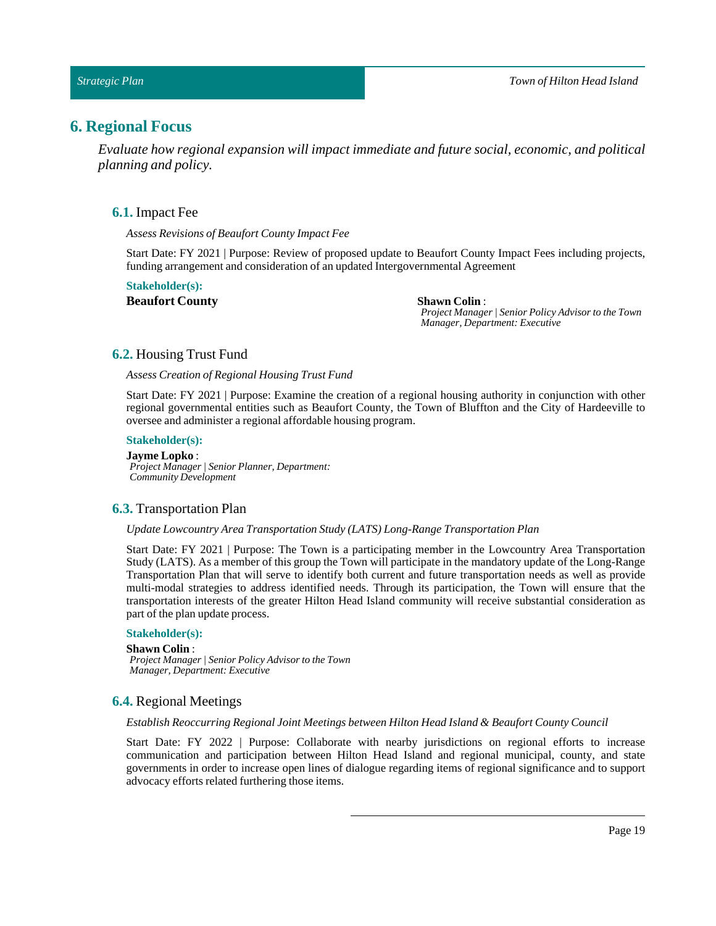# <span id="page-18-1"></span><span id="page-18-0"></span>**6. Regional Focus**

*Evaluate how regional expansion will impact immediate and future social, economic, and political planning and policy.*

### **6.1.** Impact Fee

*Assess Revisions of Beaufort County Impact Fee*

Start Date: FY 2021 | Purpose: Review of proposed update to Beaufort County Impact Fees including projects, funding arrangement and consideration of an updated Intergovernmental Agreement

**Stakeholder(s): Beaufort County Shawn Colin**:

*Project Manager | Senior Policy Advisor to the Town Manager, Department: Executive*

# <span id="page-18-2"></span>**6.2.** Housing Trust Fund

*Assess Creation of Regional HousingTrust Fund*

Start Date: FY 2021 | Purpose: Examine the creation of a regional housing authority in conjunction with other regional governmental entities such as Beaufort County, the Town of Bluffton and the City of Hardeeville to oversee and administer a regional affordable housing program.

#### **Stakeholder(s):**

**Jayme Lopko** : *Project Manager | Senior Planner, Department: Community Development*

#### <span id="page-18-3"></span>**6.3.** Transportation Plan

*UpdateLowcountry AreaTransportation Study (LATS)Long-RangeTransportation Plan*

Start Date: FY 2021 | Purpose: The Town is a participating member in the Lowcountry Area Transportation Study (LATS). As a member of this group the Town will participate in the mandatory update of the Long-Range Transportation Plan that will serve to identify both current and future transportation needs as well as provide multi-modal strategies to address identified needs. Through its participation, the Town will ensure that the transportation interests of the greater Hilton Head Island community will receive substantial consideration as part of the plan update process.

#### **Stakeholder(s):**

#### **Shawn Colin**:

*Project Manager | Senior Policy Advisor to the Town Manager, Department: Executive*

# <span id="page-18-4"></span>**6.4.** Regional Meetings

*Establish Reoccurring Regional Joint Meetings between Hilton Head Island & Beaufort County Council*

Start Date: FY 2022 | Purpose: Collaborate with nearby jurisdictions on regional efforts to increase communication and participation between Hilton Head Island and regional municipal, county, and state governments in order to increase open lines of dialogue regarding items of regional significance and to support advocacy efforts related furthering those items.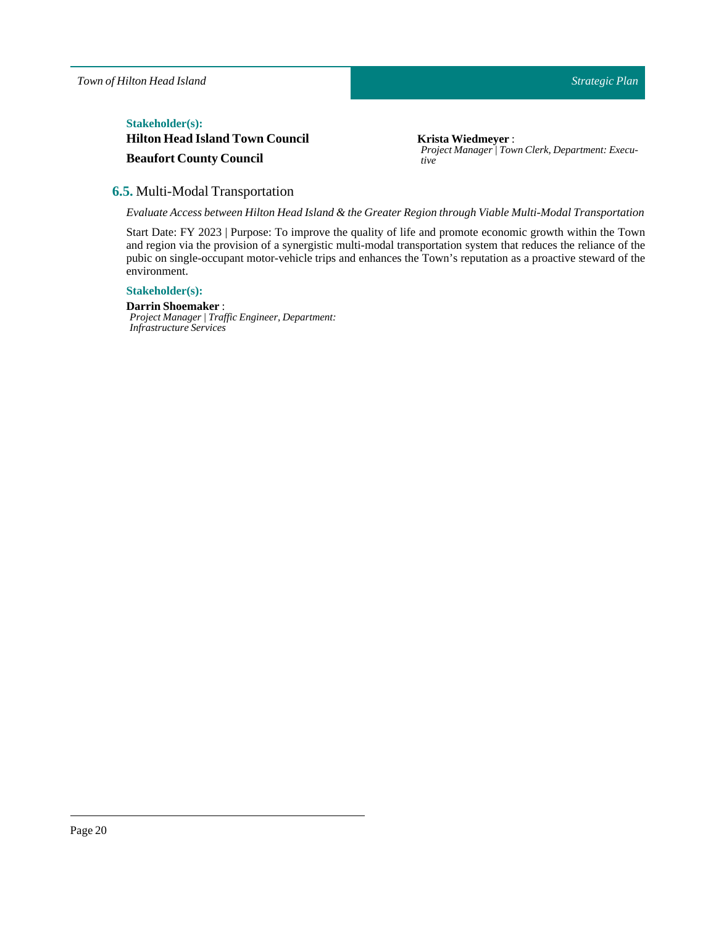# $Stakeholder(s):$

**Hilton Head Island Town Council Beaufort County Council**

**Krista Wiedmeyer** : *Project Manager | Town Clerk, Department: Executive*

# <span id="page-19-0"></span>**6.5.** Multi-Modal Transportation

*Evaluate Access between Hilton Head Island & the Greater Region through Viable Multi-ModalTransportation*

Start Date: FY 2023 | Purpose: To improve the quality of life and promote economic growth within the Town and region via the provision of a synergistic multi-modal transportation system that reduces the reliance of the pubic on single-occupant motor-vehicle trips and enhances the Town's reputation as a proactive steward of the environment.

# **Stakeholder(s):**

**DarrinShoemaker** : *Project Manager | Traffic Engineer, Department: Infrastructure Services*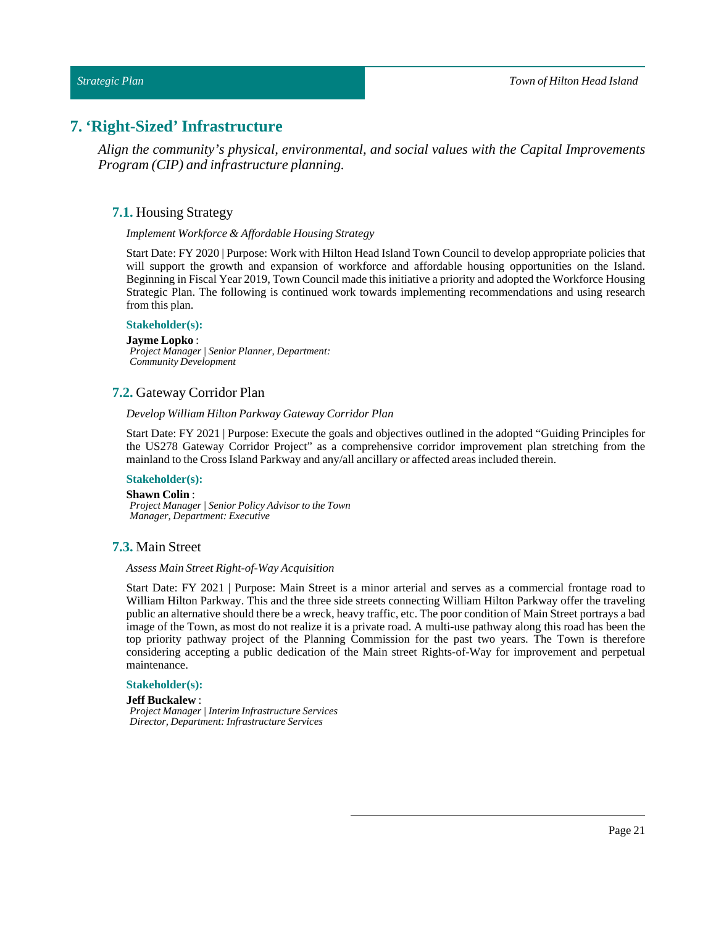#### *Strategic Plan*

# <span id="page-20-1"></span><span id="page-20-0"></span>**7. 'Right-Sized' Infrastructure**

*Align the community's physical, environmental, and social values with the Capital Improvements Program (CIP) and infrastructure planning.*

# **7.1.** Housing Strategy

#### *Implement Workforce & Affordable Housing Strategy*

Start Date: FY 2020 | Purpose: Work with Hilton Head Island Town Council to develop appropriate policies that will support the growth and expansion of workforce and affordable housing opportunities on the Island. Beginning inFiscal Year 2019, Town Council made this initiative a priority and adopted the Workforce Housing Strategic Plan. The following is continued work towards implementing recommendations and using research from this plan.

#### **Stakeholder(s):**

**Jayme Lopko** : *Project Manager | Senior Planner, Department: Community Development*

# <span id="page-20-2"></span>**7.2.** Gateway Corridor Plan

#### *Develop William Hilton Parkway Gateway Corridor Plan*

Start Date: FY 2021 | Purpose: Execute the goals and objectives outlined in the adopted "Guiding Principles for the US278 Gateway Corridor Project" as a comprehensive corridor improvement plan stretching from the mainland to the Cross Island Parkway and any/all ancillary or affected areas included therein.

#### **Stakeholder(s):**

**Shawn Colin**: *Project Manager | Senior Policy Advisor to the Town*

*Manager, Department: Executive*

# <span id="page-20-3"></span>**7.3.** Main Street

#### *Assess Main Street Right-of-Way Acquisition*

Start Date: FY 2021 | Purpose: Main Street is a minor arterial and serves as a commercial frontage road to William Hilton Parkway. This and the three side streets connecting William Hilton Parkway offer the traveling public an alternative should there be a wreck, heavy traffic, etc. The poor condition of Main Street portrays a bad image of the Town, as most do not realize it is a private road. A multi-use pathway along this road has been the top priority pathway project of the Planning Commission for the past two years. The Town is therefore considering accepting a public dedication of the Main street Rights-of-Way for improvement and perpetual maintenance.

#### **Stakeholder(s):**

#### **Jeff Buckalew** :

*Project Manager | Interim Infrastructure Services Director, Department: Infrastructure Services*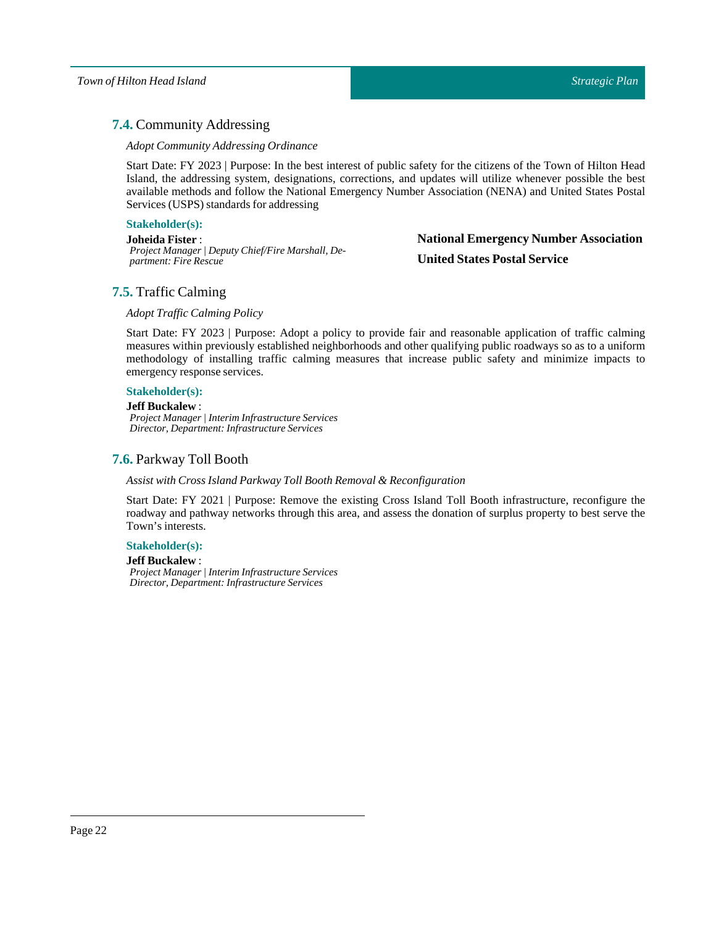# <span id="page-21-0"></span>**7.4.** Community Addressing

### *Adopt Community Addressing Ordinance*

Start Date: FY 2023 | Purpose: In the best interest of public safety for the citizens of the Town of Hilton Head Island, the addressing system, designations, corrections, and updates will utilize whenever possible the best available methods and follow the National Emergency Number Association (NENA) and United States Postal Services (USPS) standards for addressing

### **Stakeholder(s):**

**Joheida Fister** : *Project Manager | Deputy Chief/Fire Marshall, Department: Fire Rescue*

# **National Emergency Number Association United States Postal Service**

# <span id="page-21-1"></span>**7.5.** Traffic Calming

# *AdoptTraffic Calming Policy*

Start Date: FY 2023 | Purpose: Adopt a policy to provide fair and reasonable application of traffic calming measures within previously established neighborhoods and other qualifying public roadways so as to a uniform methodology of installing traffic calming measures that increase public safety and minimize impacts to emergency response services.

# **Stakeholder(s):**

#### **Jeff Buckalew** :

*Project Manager | Interim Infrastructure Services Director, Department: Infrastructure Services*

# <span id="page-21-2"></span>**7.6.** Parkway Toll Booth

#### *Assist with Cross Island ParkwayToll Booth Removal & Reconfiguration*

Start Date: FY 2021 | Purpose: Remove the existing Cross Island Toll Booth infrastructure, reconfigure the roadway and pathway networks through this area, and assess the donation of surplus property to best serve the Town's interests.

#### **Stakeholder(s):**

#### **Jeff Buckalew** :

*Project Manager | Interim Infrastructure Services Director, Department: Infrastructure Services*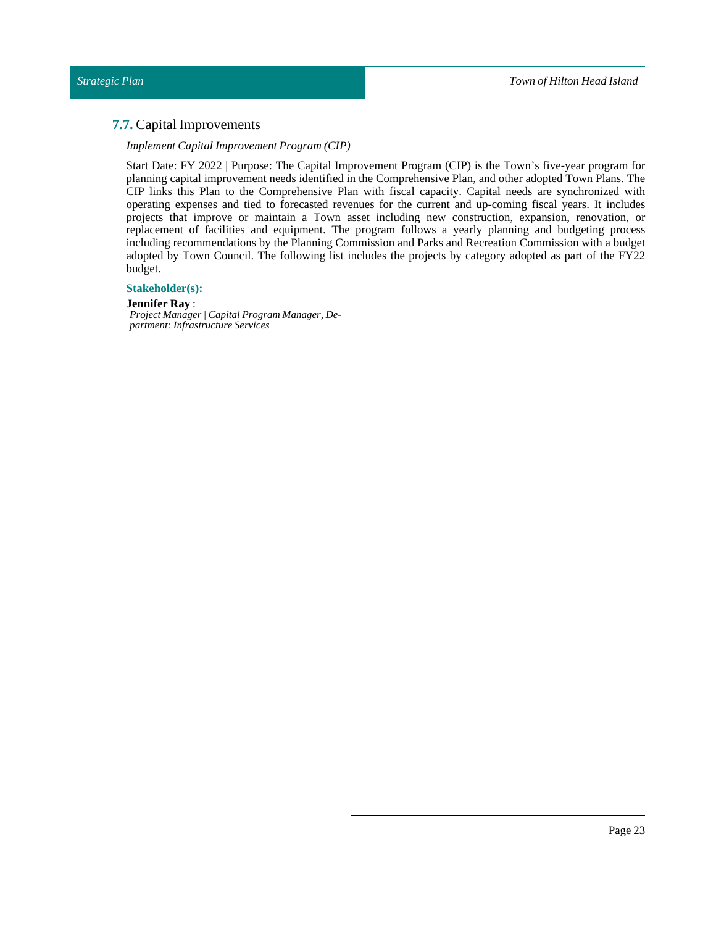# <span id="page-22-0"></span>**7.7.** Capital Improvements

#### *Implement Capital Improvement Program (CIP)*

Start Date: FY 2022 | Purpose: The Capital Improvement Program (CIP) is the Town's five-year program for planning capital improvement needs identified in the Comprehensive Plan, and other adopted Town Plans. The CIP links this Plan to the Comprehensive Plan with fiscal capacity. Capital needs are synchronized with operating expenses and tied to forecasted revenues for the current and up-coming fiscal years. It includes projects that improve or maintain a Town asset including new construction, expansion, renovation, or replacement of facilities and equipment. The program follows a yearly planning and budgeting process including recommendations by the Planning Commission and Parks and Recreation Commission with a budget adopted by Town Council. The following list includes the projects by category adopted as part of the FY22 budget.

### **Stakeholder(s):**

**Jennifer Ray** : *Project Manager | Capital Program Manager, Department: Infrastructure Services*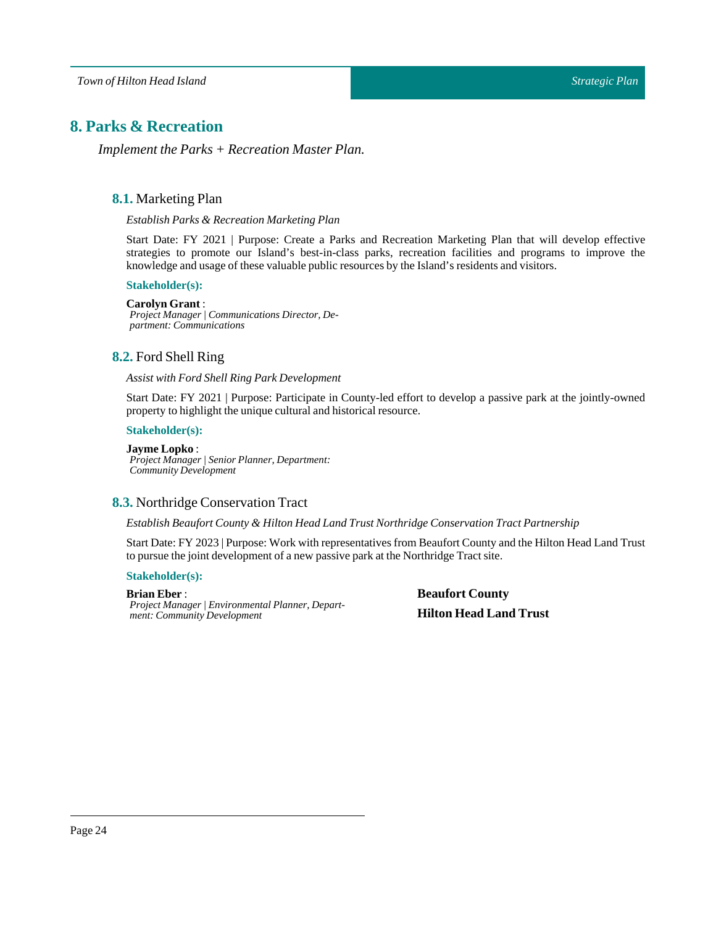# <span id="page-23-1"></span><span id="page-23-0"></span>**8. Parks & Recreation**

*Implement the Parks + Recreation Master Plan.*

# **8.1.** Marketing Plan

*Establish Parks & Recreation Marketing Plan*

Start Date: FY 2021 | Purpose: Create a Parks and Recreation Marketing Plan that will develop effective strategies to promote our Island's best-in-class parks, recreation facilities and programs to improve the knowledge and usage of these valuable public resources by the Island's residents and visitors.

#### **Stakeholder(s):**

#### **Carolyn Grant** :

*Project Manager | Communications Director, Department: Communications*

# <span id="page-23-2"></span>**8.2.** Ford Shell Ring

#### *Assist with Ford Shell Ring Park Development*

Start Date: FY 2021 | Purpose: Participate in County-led effort to develop a passive park at the jointly-owned property to highlight the unique cultural and historical resource.

# **Stakeholder(s):**

#### **Jayme Lopko** : *Project Manager | Senior Planner, Department: Community Development*

# <span id="page-23-3"></span>**8.3.** Northridge Conservation Tract

#### *Establish Beaufort County & Hilton HeadLandTrust Northridge ConservationTract Partnership*

Start Date:FY 2023 |Purpose: Work with representatives from Beaufort County and the Hilton Head Land Trust to pursue the joint development of a new passive park atthe Northridge Tract site.

#### **Stakeholder(s):**

#### **Brian Eber** :

*Project Manager | Environmental Planner, Department: Community Development*

**Beaufort County Hilton Head Land Trust**